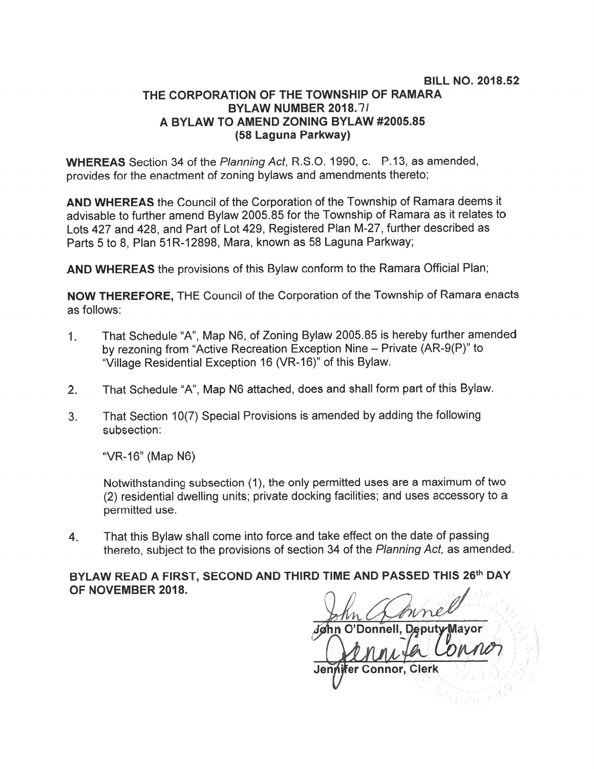## BILL NO. 2018.52 THE CORPORATION OF THE TOWNSHIP OF RAMARA BYLAW NUMBER 2018.71 A BYLAW TO AMEND ZONING BYLAW #2005.85 (58 Laguna Parkway)

WHEREAS Section 34 of the Planning Act, R.S.O. 1990, c. P.13, as amended, provides for the enactment of zoning bylaws and amendments thereto;

AND WHEREAS the Council of the Corporation of the Township of Ramara deems it advisable to further amend Bylaw 2005.85 for the Township of Ramara as it relates to Lots 427 and 428, and Part of Lot 429, Registered Plan M-27, further described as Parts 5 to 8, Plan 51R-12898, Mara, known as 58 Laguna Parkway;

AND WHEREAS the provisions of this Bylaw conform to the Ramara Official Plan;

NOW THEREFORE, THE Council of the Corporation of the Township of Ramara enacts as follows:

- 1. That Schedule "A", Map N6, of Zoning Bylaw 2005.85 is hereby further amended by rezoning from "Active Recreation Exception Nine — Private (AR-9(P)" to "Village Residential Exception 16 (VR-16)" of this Bylaw.
- 2. That Schedule "A", Map N6 attached, does and shall form par<sup>t</sup> of this Bylaw.
- 3. That Section 10(7) Special Provisions is amended by adding the following subsection:

"VR-16" (Map N6)

Notwithstanding subsection (1), the only permitted uses are <sup>a</sup> maximum of two (2) residential dwelling units; private docking facilities; and uses accessory to <sup>a</sup> permitted use.

4. That this Bylaw shall come into force and take effect on the date of passing thereto, subject to the provisions of section <sup>34</sup> of the Planning Act, as amended.

BYLAW READ A FIRST, SECOND AND THIRD TIME AND PASSED THIS 26th DAY OF NOVEMBER 2018.

er Connor, Clerk Jeni